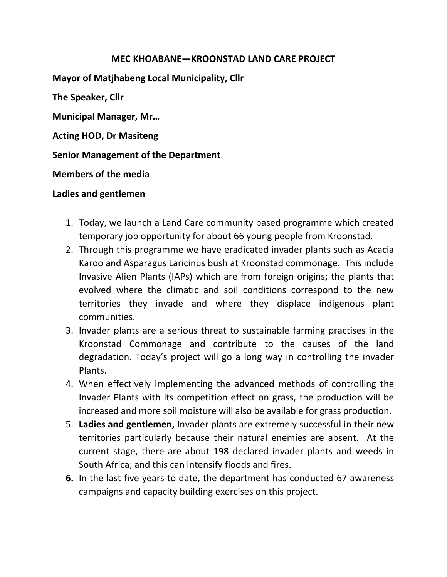## **MEC KHOABANE—KROONSTAD LAND CARE PROJECT**

**Mayor of Matjhabeng Local Municipality, Cllr**

**The Speaker, Cllr** 

**Municipal Manager, Mr…**

**Acting HOD, Dr Masiteng**

**Senior Management of the Department**

**Members of the media**

## **Ladies and gentlemen**

- 1. Today, we launch a Land Care community based programme which created temporary job opportunity for about 66 young people from Kroonstad.
- 2. Through this programme we have eradicated invader plants such as Acacia Karoo and Asparagus Laricinus bush at Kroonstad commonage. This include Invasive Alien Plants (IAPs) which are from foreign origins; the plants that evolved where the climatic and soil conditions correspond to the new territories they invade and where they displace indigenous plant communities.
- 3. Invader plants are a serious threat to sustainable farming practises in the Kroonstad Commonage and contribute to the causes of the land degradation. Today's project will go a long way in controlling the invader Plants.
- 4. When effectively implementing the advanced methods of controlling the Invader Plants with its competition effect on grass, the production will be increased and more soil moisture will also be available for grass production.
- 5. **Ladies and gentlemen,** Invader plants are extremely successful in their new territories particularly because their natural enemies are absent. At the current stage, there are about 198 declared invader plants and weeds in South Africa; and this can intensify floods and fires.
- **6.** In the last five years to date, the department has conducted 67 awareness campaigns and capacity building exercises on this project.